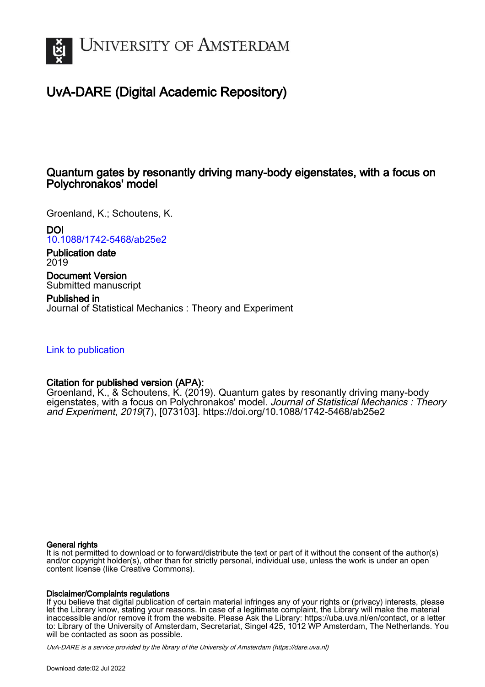

# UvA-DARE (Digital Academic Repository)

# Quantum gates by resonantly driving many-body eigenstates, with a focus on Polychronakos' model

Groenland, K.; Schoutens, K.

DOI

[10.1088/1742-5468/ab25e2](https://doi.org/10.1088/1742-5468/ab25e2)

Publication date 2019

Document Version Submitted manuscript

Published in Journal of Statistical Mechanics : Theory and Experiment

[Link to publication](https://dare.uva.nl/personal/pure/en/publications/quantum-gates-by-resonantly-driving-manybody-eigenstates-with-a-focus-on-polychronakos-model(0d2a3218-e87b-4683-960e-8f3fa01c26c0).html)

## Citation for published version (APA):

Groenland, K., & Schoutens, K. (2019). Quantum gates by resonantly driving many-body eigenstates, with a focus on Polychronakos' model. Journal of Statistical Mechanics : Theory and Experiment, 2019(7), [073103]. <https://doi.org/10.1088/1742-5468/ab25e2>

#### General rights

It is not permitted to download or to forward/distribute the text or part of it without the consent of the author(s) and/or copyright holder(s), other than for strictly personal, individual use, unless the work is under an open content license (like Creative Commons).

#### Disclaimer/Complaints regulations

If you believe that digital publication of certain material infringes any of your rights or (privacy) interests, please let the Library know, stating your reasons. In case of a legitimate complaint, the Library will make the material inaccessible and/or remove it from the website. Please Ask the Library: https://uba.uva.nl/en/contact, or a letter to: Library of the University of Amsterdam, Secretariat, Singel 425, 1012 WP Amsterdam, The Netherlands. You will be contacted as soon as possible.

UvA-DARE is a service provided by the library of the University of Amsterdam (http*s*://dare.uva.nl)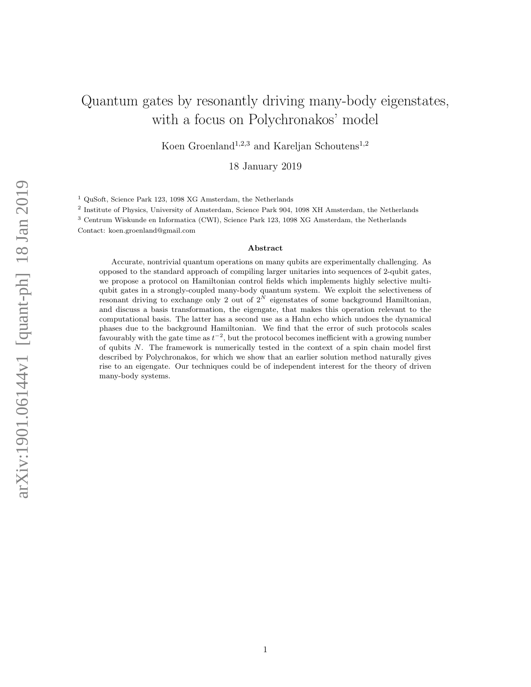# Quantum gates by resonantly driving many-body eigenstates, with a focus on Polychronakos' model

Koen Groenland<sup>1,2,3</sup> and Kareljan Schoutens<sup>1,2</sup>

18 January 2019

<sup>1</sup> QuSoft, Science Park 123, 1098 XG Amsterdam, the Netherlands

2 Institute of Physics, University of Amsterdam, Science Park 904, 1098 XH Amsterdam, the Netherlands

<sup>3</sup> Centrum Wiskunde en Informatica (CWI), Science Park 123, 1098 XG Amsterdam, the Netherlands

Contact: koen.groenland@gmail.com

#### Abstract

Accurate, nontrivial quantum operations on many qubits are experimentally challenging. As opposed to the standard approach of compiling larger unitaries into sequences of 2-qubit gates, we propose a protocol on Hamiltonian control fields which implements highly selective multiqubit gates in a strongly-coupled many-body quantum system. We exploit the selectiveness of resonant driving to exchange only 2 out of  $2^N$  eigenstates of some background Hamiltonian, and discuss a basis transformation, the eigengate, that makes this operation relevant to the computational basis. The latter has a second use as a Hahn echo which undoes the dynamical phases due to the background Hamiltonian. We find that the error of such protocols scales favourably with the gate time as  $t^{-2}$ , but the protocol becomes inefficient with a growing number of qubits N. The framework is numerically tested in the context of a spin chain model first described by Polychronakos, for which we show that an earlier solution method naturally gives rise to an eigengate. Our techniques could be of independent interest for the theory of driven many-body systems.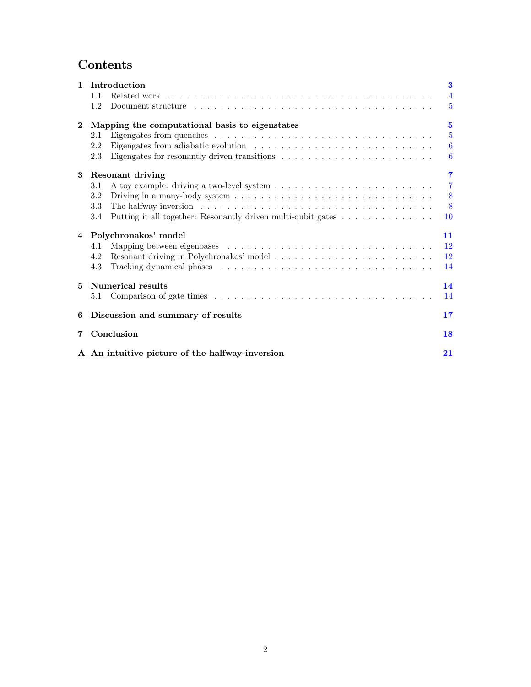# Contents

| $\mathbf{1}$ | Introduction                                                                                                                                                                                                                          | 3               |  |  |  |  |  |  |  |
|--------------|---------------------------------------------------------------------------------------------------------------------------------------------------------------------------------------------------------------------------------------|-----------------|--|--|--|--|--|--|--|
|              | 1.1                                                                                                                                                                                                                                   | $\overline{4}$  |  |  |  |  |  |  |  |
|              | 1.2                                                                                                                                                                                                                                   | $\overline{5}$  |  |  |  |  |  |  |  |
| $\mathbf{2}$ | Mapping the computational basis to eigenstates                                                                                                                                                                                        | $\mathbf{5}$    |  |  |  |  |  |  |  |
|              | 2.1                                                                                                                                                                                                                                   | $5\overline{)}$ |  |  |  |  |  |  |  |
|              | 2.2                                                                                                                                                                                                                                   | $6\phantom{.}6$ |  |  |  |  |  |  |  |
|              | Eigengates for resonantly driven transitions $\ldots \ldots \ldots \ldots \ldots \ldots \ldots \ldots$<br>2.3                                                                                                                         | 6               |  |  |  |  |  |  |  |
| $\bf{3}$     | Resonant driving                                                                                                                                                                                                                      | $\overline{7}$  |  |  |  |  |  |  |  |
|              | 3.1                                                                                                                                                                                                                                   | $\overline{7}$  |  |  |  |  |  |  |  |
|              | Driving in a many-body system $\dots \dots \dots \dots \dots \dots \dots \dots \dots \dots \dots \dots \dots$<br>3.2                                                                                                                  | 8               |  |  |  |  |  |  |  |
|              | 3.3                                                                                                                                                                                                                                   | 8               |  |  |  |  |  |  |  |
|              | Putting it all together: Resonantly driven multi-qubit gates<br>3.4                                                                                                                                                                   | 10              |  |  |  |  |  |  |  |
|              | 4 Polychronakos' model                                                                                                                                                                                                                | 11              |  |  |  |  |  |  |  |
|              | 4.1                                                                                                                                                                                                                                   | 12              |  |  |  |  |  |  |  |
|              | 4.2                                                                                                                                                                                                                                   | 12              |  |  |  |  |  |  |  |
|              | 4.3<br>Tracking dynamical phases experience is a series of the series of the series of the series of the series of the series of the series of the series of the series of the series of the series of the series of the series of th | 14              |  |  |  |  |  |  |  |
| 5            | Numerical results                                                                                                                                                                                                                     |                 |  |  |  |  |  |  |  |
|              | 5.1                                                                                                                                                                                                                                   | 14              |  |  |  |  |  |  |  |
| 6            | Discussion and summary of results                                                                                                                                                                                                     | 17              |  |  |  |  |  |  |  |
| 7            | Conclusion<br>18                                                                                                                                                                                                                      |                 |  |  |  |  |  |  |  |
|              | A An intuitive picture of the halfway-inversion                                                                                                                                                                                       | 21              |  |  |  |  |  |  |  |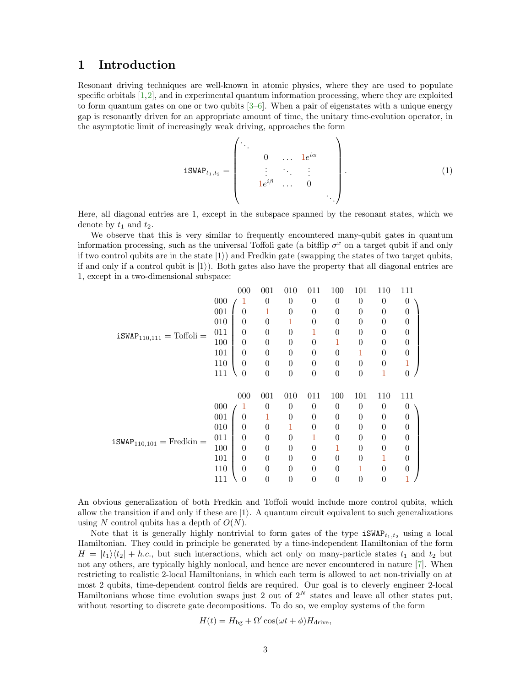### <span id="page-3-0"></span>1 Introduction

Resonant driving techniques are well-known in atomic physics, where they are used to populate specific orbitals [\[1,](#page-18-1)[2\]](#page-18-2), and in experimental quantum information processing, where they are exploited to form quantum gates on one or two qubits [\[3](#page-18-3)[–6\]](#page-18-4). When a pair of eigenstates with a unique energy gap is resonantly driven for an appropriate amount of time, the unitary time-evolution operator, in the asymptotic limit of increasingly weak driving, approaches the form

<span id="page-3-1"></span>
$$
\mathbf{iSWAP}_{t_1,t_2} = \begin{pmatrix} \cdot & & & \\ & 0 & \dots & 1e^{i\alpha} \\ & \vdots & \ddots & \vdots \\ & 1e^{i\beta} & \dots & 0 \end{pmatrix} . \tag{1}
$$

Here, all diagonal entries are 1, except in the subspace spanned by the resonant states, which we denote by  $t_1$  and  $t_2$ .

We observe that this is very similar to frequently encountered many-qubit gates in quantum information processing, such as the universal Toffoli gate (a bitflip  $\sigma^x$  on a target qubit if and only if two control qubits are in the state  $|1\rangle$ ) and Fredkin gate (swapping the states of two target qubits, if and only if a control qubit is  $|1\rangle$ ). Both gates also have the property that all diagonal entries are 1, except in a two-dimensional subspace:

|                               |     | 000            | 001              | 010            | 011      | 100              | 101              | 110              | 111            |  |
|-------------------------------|-----|----------------|------------------|----------------|----------|------------------|------------------|------------------|----------------|--|
|                               | 000 | 1              | $\theta$         | $\theta$       | $\theta$ | $\theta$         | $\overline{0}$   | $\theta$         | $\overline{0}$ |  |
|                               | 001 | $\theta$       | 1                | $\theta$       | $\theta$ | $\theta$         | $\theta$         | $\theta$         | $\theta$       |  |
|                               | 010 | $\theta$       | $\theta$         | 1              | $\theta$ | $\theta$         | $\theta$         | $\theta$         | $\theta$       |  |
| $iSWAP_{110,111} = Toffoli =$ | 011 | $\theta$       | $\theta$         | $\theta$       | 1        | $\theta$         | $\theta$         | $\theta$         | $\theta$       |  |
|                               | 100 | $\theta$       | $\theta$         | $\theta$       | $\theta$ | 1                | 0                | $\theta$         | $\theta$       |  |
|                               | 101 | $\Omega$       | $\theta$         | $\theta$       | $\theta$ | $\theta$         | 1                | 0                | $\theta$       |  |
|                               | 110 | $\theta$       | $\theta$         | $\theta$       | $\theta$ | $\theta$         | $\theta$         | $\theta$         | $\mathbf{1}$   |  |
|                               | 111 | $\overline{0}$ | $\overline{0}$   | $\overline{0}$ | $\theta$ | $\boldsymbol{0}$ | $\overline{0}$   | 1                | $\overline{0}$ |  |
|                               |     |                |                  |                |          |                  |                  |                  |                |  |
|                               |     | 000            | 001              | 010            | 011      | 100              | 101              | 110              | 111            |  |
|                               | 000 | 1              | $\theta$         | $\theta$       | $\Omega$ | $\theta$         | $\overline{0}$   | $\theta$         | $\theta$       |  |
|                               | 001 | $\theta$       | 1                | $\theta$       | $\Omega$ | $\theta$         | $\theta$         | $\theta$         | $\theta$       |  |
|                               | 010 | $\theta$       | $\theta$         |                | $\theta$ | $\theta$         | $\theta$         | $\theta$         | $\theta$       |  |
|                               | 011 | $\theta$       | $\theta$         | $\theta$       | 1        | $\overline{0}$   | $\theta$         | $\theta$         | $\theta$       |  |
| $iSWAP_{110,101} = Fredkin =$ | 100 | $\theta$       | $\theta$         | 0              | $\theta$ | 1                | $\theta$         | $\theta$         | $\theta$       |  |
|                               | 101 | $\theta$       | $\theta$         | $\theta$       | $\theta$ | $\boldsymbol{0}$ | $\overline{0}$   | 1                | $\theta$       |  |
|                               | 110 | $\theta$       | $\theta$         | $\theta$       | $\Omega$ | $\theta$         | 1                | $\theta$         | $\theta$       |  |
|                               | 111 | $\theta$       | $\boldsymbol{0}$ | $\overline{0}$ | $\theta$ | $\boldsymbol{0}$ | $\boldsymbol{0}$ | $\boldsymbol{0}$ | 1              |  |
|                               |     |                |                  |                |          |                  |                  |                  |                |  |

An obvious generalization of both Fredkin and Toffoli would include more control qubits, which allow the transition if and only if these are  $|1\rangle$ . A quantum circuit equivalent to such generalizations using N control qubits has a depth of  $O(N)$ .

Note that it is generally highly nontrivial to form gates of the type  $iSWAP_{t_1,t_2}$  using a local Hamiltonian. They could in principle be generated by a time-independent Hamiltonian of the form  $H = |t_1\rangle\langle t_2| + h.c.,$  but such interactions, which act only on many-particle states  $t_1$  and  $t_2$  but not any others, are typically highly nonlocal, and hence are never encountered in nature [\[7\]](#page-18-5). When restricting to realistic 2-local Hamiltonians, in which each term is allowed to act non-trivially on at most 2 qubits, time-dependent control fields are required. Our goal is to cleverly engineer 2-local Hamiltonians whose time evolution swaps just 2 out of  $2^N$  states and leave all other states put, without resorting to discrete gate decompositions. To do so, we employ systems of the form

$$
H(t) = H_{\text{bg}} + \Omega' \cos(\omega t + \phi) H_{\text{drive}},
$$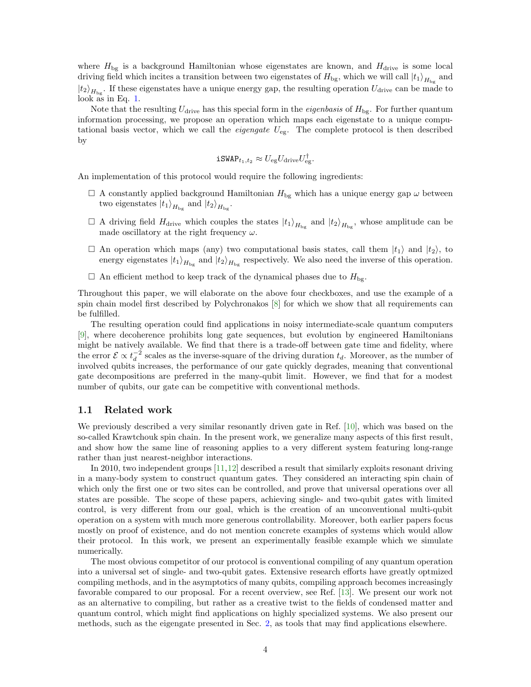where  $H_{\text{bg}}$  is a background Hamiltonian whose eigenstates are known, and  $H_{\text{drive}}$  is some local driving field which incites a transition between two eigenstates of  $H_{\text{bg}}$ , which we will call  $|t_1\rangle_{H_{\text{bg}}}$  and  $|t_2\rangle_{H_{\text{bg}}}$ . If these eigenstates have a unique energy gap, the resulting operation  $U_{\text{drive}}$  can be made to look as in Eq. [1.](#page-3-1)

Note that the resulting  $U_{\text{drive}}$  has this special form in the *eigenbasis* of  $H_{\text{bg}}$ . For further quantum information processing, we propose an operation which maps each eigenstate to a unique computational basis vector, which we call the *eigengate*  $U_{eg}$ . The complete protocol is then described by

$$
\mathtt{iSWAP}_{t_1,t_2}\approx U_{\rm eg}U_{\rm drive}U_{\rm eg}^\dagger.
$$

An implementation of this protocol would require the following ingredients:

- $\Box$  A constantly applied background Hamiltonian  $H_{\text{bg}}$  which has a unique energy gap  $\omega$  between two eigenstates  $|t_1\rangle_{H_{\text{bg}}}$  and  $|t_2\rangle_{H_{\text{bg}}}$ .
- $\Box$  A driving field  $H_{\text{drive}}$  which couples the states  $|t_1\rangle_{H_{\text{bg}}}$  and  $|t_2\rangle_{H_{\text{bg}}}$ , whose amplitude can be made oscillatory at the right frequency  $\omega$ .
- $\Box$  An operation which maps (any) two computational basis states, call them  $|t_1\rangle$  and  $|t_2\rangle$ , to energy eigenstates  $|t_1\rangle_{H_{\text{bg}}}$  and  $|t_2\rangle_{H_{\text{bg}}}$  respectively. We also need the inverse of this operation.
- $\Box$  An efficient method to keep track of the dynamical phases due to  $H_{\text{bg}}$ .

Throughout this paper, we will elaborate on the above four checkboxes, and use the example of a spin chain model first described by Polychronakos [\[8\]](#page-18-6) for which we show that all requirements can be fulfilled.

The resulting operation could find applications in noisy intermediate-scale quantum computers [\[9\]](#page-18-7), where decoherence prohibits long gate sequences, but evolution by engineered Hamiltonians might be natively available. We find that there is a trade-off between gate time and fidelity, where the error  $\mathcal{E} \propto t_d^{-2}$  scales as the inverse-square of the driving duration  $t_d$ . Moreover, as the number of involved qubits increases, the performance of our gate quickly degrades, meaning that conventional gate decompositions are preferred in the many-qubit limit. However, we find that for a modest number of qubits, our gate can be competitive with conventional methods.

#### <span id="page-4-0"></span>1.1 Related work

We previously described a very similar resonantly driven gate in Ref. [\[10\]](#page-19-0), which was based on the so-called Krawtchouk spin chain. In the present work, we generalize many aspects of this first result, and show how the same line of reasoning applies to a very different system featuring long-range rather than just nearest-neighbor interactions.

In 2010, two independent groups [\[11,](#page-19-1)[12\]](#page-19-2) described a result that similarly exploits resonant driving in a many-body system to construct quantum gates. They considered an interacting spin chain of which only the first one or two sites can be controlled, and prove that universal operations over all states are possible. The scope of these papers, achieving single- and two-qubit gates with limited control, is very different from our goal, which is the creation of an unconventional multi-qubit operation on a system with much more generous controllability. Moreover, both earlier papers focus mostly on proof of existence, and do not mention concrete examples of systems which would allow their protocol. In this work, we present an experimentally feasible example which we simulate numerically.

The most obvious competitor of our protocol is conventional compiling of any quantum operation into a universal set of single- and two-qubit gates. Extensive research efforts have greatly optmized compiling methods, and in the asymptotics of many qubits, compiling approach becomes increasingly favorable compared to our proposal. For a recent overview, see Ref. [\[13\]](#page-19-3). We present our work not as an alternative to compiling, but rather as a creative twist to the fields of condensed matter and quantum control, which might find applications on highly specialized systems. We also present our methods, such as the eigengate presented in Sec. [2,](#page-5-1) as tools that may find applications elsewhere.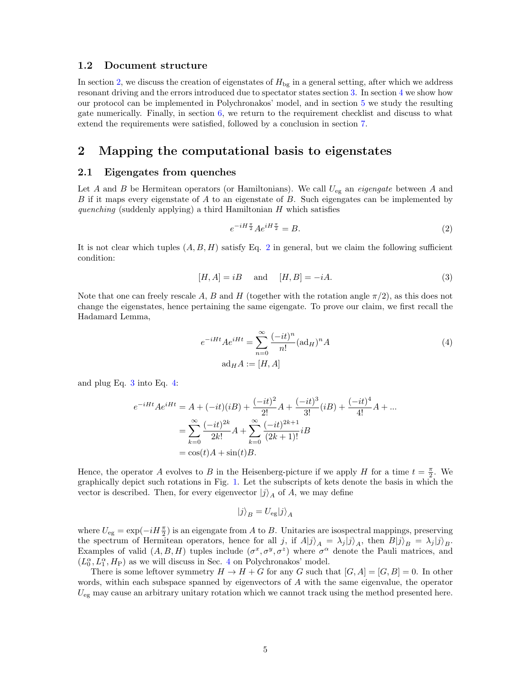#### <span id="page-5-0"></span>1.2 Document structure

In section [2,](#page-5-1) we discuss the creation of eigenstates of  $H_{\text{bg}}$  in a general setting, after which we address resonant driving and the errors introduced due to spectator states section [3.](#page-7-0) In section [4](#page-11-0) we show how our protocol can be implemented in Polychronakos' model, and in section [5](#page-14-1) we study the resulting gate numerically. Finally, in section  $6$ , we return to the requirement checklist and discuss to what extend the requirements were satisfied, followed by a conclusion in section [7.](#page-18-0)

## <span id="page-5-1"></span>2 Mapping the computational basis to eigenstates

#### <span id="page-5-2"></span>2.1 Eigengates from quenches

Let A and B be Hermitean operators (or Hamiltonians). We call  $U_{eg}$  an *eigengate* between A and  $B$  if it maps every eigenstate of  $A$  to an eigenstate of  $B$ . Such eigengates can be implemented by quenching (suddenly applying) a third Hamiltonian  $H$  which satisfies

<span id="page-5-5"></span><span id="page-5-4"></span><span id="page-5-3"></span>
$$
e^{-iH\frac{\pi}{2}}Ae^{iH\frac{\pi}{2}} = B.
$$
 (2)

It is not clear which tuples  $(A, B, H)$  satisfy Eq. [2](#page-5-3) in general, but we claim the following sufficient condition:

$$
[H, A] = iB \quad \text{and} \quad [H, B] = -iA. \tag{3}
$$

Note that one can freely rescale A, B and H (together with the rotation angle  $\pi/2$ ), as this does not change the eigenstates, hence pertaining the same eigengate. To prove our claim, we first recall the Hadamard Lemma,

$$
e^{-iHt}Ae^{iHt} = \sum_{n=0}^{\infty} \frac{(-it)^n}{n!} (\text{ad}_H)^n A
$$
  
 
$$
\text{ad}_H A := [H, A]
$$
 (4)

and plug Eq. [3](#page-5-4) into Eq. [4:](#page-5-5)

$$
e^{-iHt}Ae^{iHt} = A + (-it)(iB) + \frac{(-it)^2}{2!}A + \frac{(-it)^3}{3!}(iB) + \frac{(-it)^4}{4!}A + \dots
$$
  
= 
$$
\sum_{k=0}^{\infty} \frac{(-it)^{2k}}{2k!}A + \sum_{k=0}^{\infty} \frac{(-it)^{2k+1}}{(2k+1)!}iB
$$
  
= 
$$
\cos(t)A + \sin(t)B.
$$

Hence, the operator A evolves to B in the Heisenberg-picture if we apply H for a time  $t = \frac{\pi}{2}$ . We graphically depict such rotations in Fig. [1.](#page-6-2) Let the subscripts of kets denote the basis in which the vector is described. Then, for every eigenvector  $|j\rangle_A$  of A, we may define

$$
|j\rangle_B=U_{\rm eg}|j\rangle_A
$$

where  $U_{eg} = \exp(-iH\frac{\pi}{2})$  is an eigengate from A to B. Unitaries are isospectral mappings, preserving the spectrum of Hermitean operators, hence for all j, if  $A|j\rangle_A = \lambda_j |j\rangle_A$ , then  $B|j\rangle_B = \lambda_j |j\rangle_B$ . Examples of valid  $(A, B, H)$  tuples include  $(\sigma^x, \sigma^y, \sigma^z)$  where  $\sigma^{\alpha}$  denote the Pauli matrices, and  $(L_0^{\alpha}, L_1^{\alpha}, H_P)$  as we will discuss in Sec. [4](#page-11-0) on Polychronakos' model.

There is some leftover symmetry  $H \to H + G$  for any G such that  $[G, A] = [G, B] = 0$ . In other words, within each subspace spanned by eigenvectors of A with the same eigenvalue, the operator  $U_{eg}$  may cause an arbitrary unitary rotation which we cannot track using the method presented here.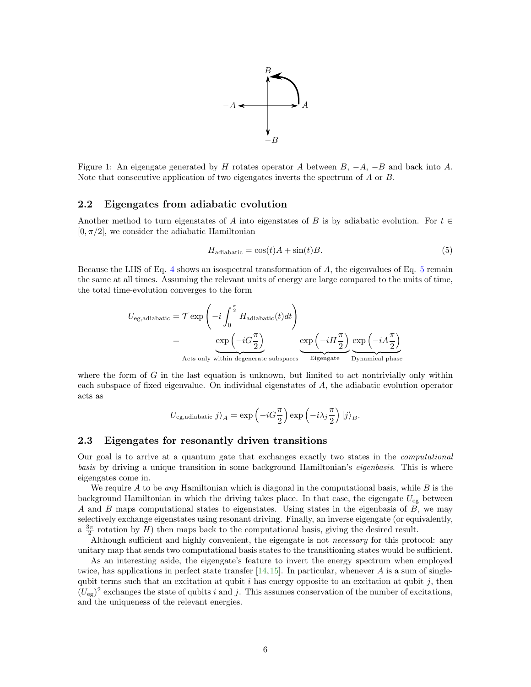

<span id="page-6-2"></span>Figure 1: An eigengate generated by H rotates operator A between  $B, -A, -B$  and back into A. Note that consecutive application of two eigengates inverts the spectrum of A or B.

#### <span id="page-6-0"></span>2.2 Eigengates from adiabatic evolution

Another method to turn eigenstates of A into eigenstates of B is by adiabatic evolution. For  $t \in$  $[0, \pi/2]$ , we consider the adiabatic Hamiltonian

<span id="page-6-3"></span>
$$
H_{\text{adiabatic}} = \cos(t)A + \sin(t)B. \tag{5}
$$

Because the LHS of Eq. [4](#page-5-5) shows an isospectral transformation of A, the eigenvalues of Eq. [5](#page-6-3) remain the same at all times. Assuming the relevant units of energy are large compared to the units of time, the total time-evolution converges to the form

$$
U_{\text{eg,adiabatic}} = \mathcal{T} \exp\left(-i \int_0^{\frac{\pi}{2}} H_{\text{adiabatic}}(t) dt\right)
$$
  
= 
$$
\underbrace{\exp\left(-i G \frac{\pi}{2}\right)}_{\text{Acts only within degenerate subspaces}} \underbrace{\exp\left(-i H \frac{\pi}{2}\right)}_{\text{Eigengate}} \underbrace{\exp\left(-i A \frac{\pi}{2}\right)}_{\text{Dynamical phase}}
$$

where the form of  $G$  in the last equation is unknown, but limited to act nontrivially only within each subspace of fixed eigenvalue. On individual eigenstates of A, the adiabatic evolution operator acts as

$$
U_{\mathrm{eg,adiabatic}}|j\rangle_{A}=\exp\left(-iG\frac{\pi}{2}\right)\exp\left(-i\lambda_{j}\frac{\pi}{2}\right)|j\rangle_{B}.
$$

#### <span id="page-6-1"></span>2.3 Eigengates for resonantly driven transitions

Our goal is to arrive at a quantum gate that exchanges exactly two states in the computational basis by driving a unique transition in some background Hamiltonian's *eigenbasis*. This is where eigengates come in.

We require A to be any Hamiltonian which is diagonal in the computational basis, while  $B$  is the background Hamiltonian in which the driving takes place. In that case, the eigengate  $U_{eg}$  between  $A$  and  $B$  maps computational states to eigenstates. Using states in the eigenbasis of  $B$ , we may selectively exchange eigenstates using resonant driving. Finally, an inverse eigengate (or equivalently, a  $\frac{3\pi}{2}$  rotation by H) then maps back to the computational basis, giving the desired result.

Although sufficient and highly convenient, the eigengate is not necessary for this protocol: any unitary map that sends two computational basis states to the transitioning states would be sufficient.

As an interesting aside, the eigengate's feature to invert the energy spectrum when employed twice, has applications in perfect state transfer  $[14,15]$  $[14,15]$ . In particular, whenever A is a sum of singlequbit terms such that an excitation at qubit  $i$  has energy opposite to an excitation at qubit  $j$ , then  $(U_{eg})^2$  exchanges the state of qubits i and j. This assumes conservation of the number of excitations, and the uniqueness of the relevant energies.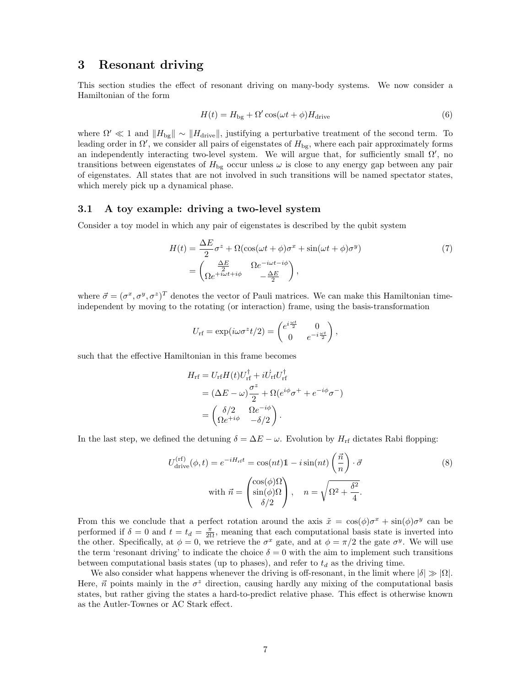## <span id="page-7-0"></span>3 Resonant driving

This section studies the effect of resonant driving on many-body systems. We now consider a Hamiltonian of the form

<span id="page-7-2"></span>
$$
H(t) = H_{\text{bg}} + \Omega' \cos(\omega t + \phi) H_{\text{drive}} \tag{6}
$$

where  $\Omega' \ll 1$  and  $\|H_{\text{bg}}\| \sim \|H_{\text{drive}}\|$ , justifying a perturbative treatment of the second term. To leading order in  $\Omega'$ , we consider all pairs of eigenstates of  $H_{\text{bg}}$ , where each pair approximately forms an independently interacting two-level system. We will argue that, for sufficiently small  $\Omega'$ , no transitions between eigenstates of  $H_{\text{bg}}$  occur unless  $\omega$  is close to any energy gap between any pair of eigenstates. All states that are not involved in such transitions will be named spectator states, which merely pick up a dynamical phase.

#### <span id="page-7-1"></span>3.1 A toy example: driving a two-level system

Consider a toy model in which any pair of eigenstates is described by the qubit system

$$
H(t) = \frac{\Delta E}{2}\sigma^z + \Omega(\cos(\omega t + \phi)\sigma^x + \sin(\omega t + \phi)\sigma^y)
$$
  
= 
$$
\begin{pmatrix} \frac{\Delta E}{2} & \Omega e^{-i\omega t - i\phi} \\ \Omega e^{+i\omega t + i\phi} & -\frac{\Delta E}{2} \end{pmatrix},
$$
 (7)

where  $\vec{\sigma} = (\sigma^x, \sigma^y, \sigma^z)^T$  denotes the vector of Pauli matrices. We can make this Hamiltonian timeindependent by moving to the rotating (or interaction) frame, using the basis-transformation

<span id="page-7-3"></span>
$$
U_{\rm rf} = \exp(i\omega\sigma^z t/2) = \begin{pmatrix} e^{i\frac{\omega t}{2}} & 0\\ 0 & e^{-i\frac{\omega t}{2}} \end{pmatrix},
$$

such that the effective Hamiltonian in this frame becomes

<span id="page-7-4"></span>
$$
H_{\rm rf} = U_{\rm rf} H(t) U_{\rm rf}^{\dagger} + i U_{\rm rf} U_{\rm rf}^{\dagger}
$$
  
= 
$$
(\Delta E - \omega) \frac{\sigma^z}{2} + \Omega (e^{i\phi} \sigma^+ + e^{-i\phi} \sigma^-)
$$
  
= 
$$
\begin{pmatrix} \delta/2 & \Omega e^{-i\phi} \\ \Omega e^{+i\phi} & -\delta/2 \end{pmatrix}.
$$

In the last step, we defined the detuning  $\delta = \Delta E - \omega$ . Evolution by  $H_{\rm rf}$  dictates Rabi flopping:

$$
U_{\text{drive}}^{(\text{rf})}(\phi, t) = e^{-iH_{\text{rf}}t} = \cos(nt)\mathbb{1} - i\sin(nt)\left(\frac{\vec{n}}{n}\right) \cdot \vec{\sigma}
$$
  
\nwith  $\vec{n} = \begin{pmatrix} \cos(\phi)\Omega\\ \sin(\phi)\Omega\\ \delta/2 \end{pmatrix}, \quad n = \sqrt{\Omega^2 + \frac{\delta^2}{4}}.$  (8)

From this we conclude that a perfect rotation around the axis  $\tilde{x} = \cos(\phi)\sigma^x + \sin(\phi)\sigma^y$  can be performed if  $\delta = 0$  and  $t = t_d = \frac{\pi}{2\Omega}$ , meaning that each computational basis state is inverted into the other. Specifically, at  $\phi = 0$ , we retrieve the  $\sigma^x$  gate, and at  $\phi = \pi/2$  the gate  $\sigma^y$ . We will use the term 'resonant driving' to indicate the choice  $\delta = 0$  with the aim to implement such transitions between computational basis states (up to phases), and refer to  $t_d$  as the driving time.

We also consider what happens whenever the driving is off-resonant, in the limit where  $|\delta| \gg |\Omega|$ . Here,  $\vec{n}$  points mainly in the  $\sigma^z$  direction, causing hardly any mixing of the computational basis states, but rather giving the states a hard-to-predict relative phase. This effect is otherwise known as the Autler-Townes or AC Stark effect.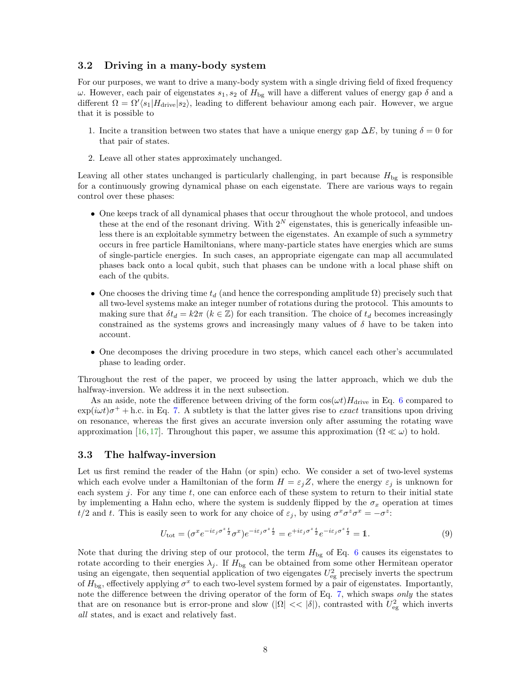#### <span id="page-8-0"></span>3.2 Driving in a many-body system

For our purposes, we want to drive a many-body system with a single driving field of fixed frequency ω. However, each pair of eigenstates  $s_1, s_2$  of  $H_{\text{bg}}$  will have a different values of energy gap δ and a different  $\Omega = \Omega' \langle s_1 | H_{\text{drive}} | s_2 \rangle$ , leading to different behaviour among each pair. However, we argue that it is possible to

- 1. Incite a transition between two states that have a unique energy gap  $\Delta E$ , by tuning  $\delta = 0$  for that pair of states.
- 2. Leave all other states approximately unchanged.

Leaving all other states unchanged is particularly challenging, in part because  $H_{\text{bg}}$  is responsible for a continuously growing dynamical phase on each eigenstate. There are various ways to regain control over these phases:

- One keeps track of all dynamical phases that occur throughout the whole protocol, and undoes these at the end of the resonant driving. With  $2^N$  eigenstates, this is generically infeasible unless there is an exploitable symmetry between the eigenstates. An example of such a symmetry occurs in free particle Hamiltonians, where many-particle states have energies which are sums of single-particle energies. In such cases, an appropriate eigengate can map all accumulated phases back onto a local qubit, such that phases can be undone with a local phase shift on each of the qubits.
- One chooses the driving time  $t_d$  (and hence the corresponding amplitude  $\Omega$ ) precisely such that all two-level systems make an integer number of rotations during the protocol. This amounts to making sure that  $\delta t_d = k2\pi$  ( $k \in \mathbb{Z}$ ) for each transition. The choice of  $t_d$  becomes increasingly constrained as the systems grows and increasingly many values of  $\delta$  have to be taken into account.
- One decomposes the driving procedure in two steps, which cancel each other's accumulated phase to leading order.

Throughout the rest of the paper, we proceed by using the latter approach, which we dub the halfway-inversion. We address it in the next subsection.

As an aside, note the difference between driving of the form  $cos(\omega t)H_{\text{drive}}$  in Eq. [6](#page-7-2) compared to  $\exp(i\omega t)\sigma^+ +$  h.c. in Eq. [7.](#page-7-3) A subtlety is that the latter gives rise to *exact* transitions upon driving on resonance, whereas the first gives an accurate inversion only after assuming the rotating wave approximation [\[16,](#page-19-6) [17\]](#page-19-7). Throughout this paper, we assume this approximation  $(\Omega \ll \omega)$  to hold.

#### <span id="page-8-1"></span>3.3 The halfway-inversion

Let us first remind the reader of the Hahn (or spin) echo. We consider a set of two-level systems which each evolve under a Hamiltonian of the form  $H = \varepsilon_i Z$ , where the energy  $\varepsilon_i$  is unknown for each system  $j$ . For any time  $t$ , one can enforce each of these system to return to their initial state by implementing a Hahn echo, where the system is suddenly flipped by the  $\sigma_x$  operation at times  $t/2$  and t. This is easily seen to work for any choice of  $\varepsilon_j$ , by using  $\sigma^x \sigma^z \sigma^x = -\sigma^z$ .

<span id="page-8-2"></span>
$$
U_{\text{tot}} = (\sigma^x e^{-i\varepsilon_j \sigma^z \frac{t}{2}} \sigma^x) e^{-i\varepsilon_j \sigma^z \frac{t}{2}} = e^{+i\varepsilon_j \sigma^z \frac{t}{2}} e^{-i\varepsilon_j \sigma^z \frac{t}{2}} = 1.
$$
\n
$$
(9)
$$

Note that during the driving step of our protocol, the term  $H_{\text{bg}}$  of Eq. [6](#page-7-2) causes its eigenstates to rotate according to their energies  $\lambda_j$ . If  $H_{\text{bg}}$  can be obtained from some other Hermitean operator using an eigengate, then sequential application of two eigengates  $U_{eg}^2$  precisely inverts the spectrum of  $H_{\text{bg}}$ , effectively applying  $\sigma^x$  to each two-level system formed by a pair of eigenstates. Importantly, note the difference between the driving operator of the form of Eq. [7,](#page-7-3) which swaps only the states that are on resonance but is error-prone and slow ( $|\Omega| \ll |\delta|$ ), contrasted with  $U_{\text{eg}}^2$  which inverts all states, and is exact and relatively fast.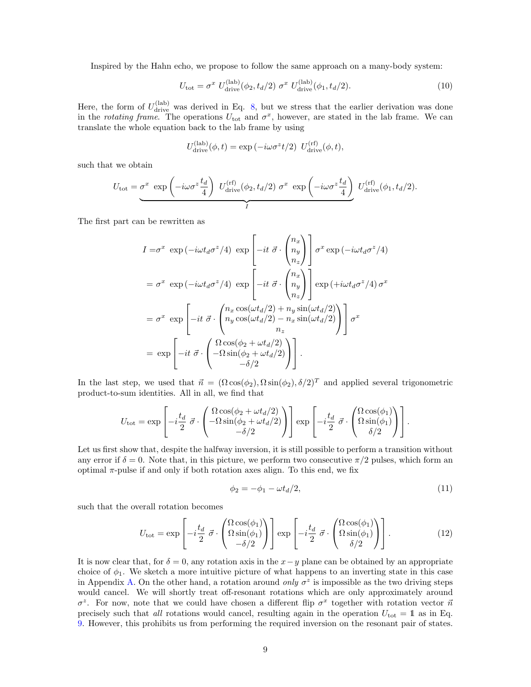Inspired by the Hahn echo, we propose to follow the same approach on a many-body system:

$$
U_{\text{tot}} = \sigma^x \ U_{\text{drive}}^{(\text{lab})}(\phi_2, t_d/2) \ \sigma^x \ U_{\text{drive}}^{(\text{lab})}(\phi_1, t_d/2). \tag{10}
$$

Here, the form of  $U_{\text{drive}}^{(\text{lab})}$  was derived in Eq. [8,](#page-7-4) but we stress that the earlier derivation was done in the *rotating frame*. The operations  $U_{\text{tot}}$  and  $\sigma^x$ , however, are stated in the lab frame. We can translate the whole equation back to the lab frame by using

<span id="page-9-1"></span>
$$
U_{\text{drive}}^{(\text{lab})}(\phi, t) = \exp\left(-i\omega\sigma^z t/2\right) U_{\text{drive}}^{(\text{rf})}(\phi, t),
$$

such that we obtain

$$
U_{\text{tot}} = \underbrace{\sigma^x \exp\left(-i\omega\sigma^z \frac{t_d}{4}\right) U_{\text{drive}}^{\text{(rf)}}(\phi_2, t_d/2) \sigma^x \exp\left(-i\omega\sigma^z \frac{t_d}{4}\right)}_{I} U_{\text{drive}}^{\text{(rf)}}(\phi_1, t_d/2).
$$

The first part can be rewritten as

$$
I = \sigma^x \exp(-i\omega t_d \sigma^z/4) \exp\left[-it \ \vec{\sigma} \cdot \begin{pmatrix} n_x \\ n_y \\ n_z \end{pmatrix}\right] \sigma^x \exp(-i\omega t_d \sigma^z/4)
$$
  
\n
$$
= \sigma^x \exp(-i\omega t_d \sigma^z/4) \exp\left[-it \ \vec{\sigma} \cdot \begin{pmatrix} n_x \\ n_y \\ n_z \end{pmatrix}\right] \exp(+i\omega t_d \sigma^z/4) \sigma^x
$$
  
\n
$$
= \sigma^x \exp\left[-it \ \vec{\sigma} \cdot \begin{pmatrix} n_x \cos(\omega t_d/2) + n_y \sin(\omega t_d/2) \\ n_y \cos(\omega t_d/2) - n_x \sin(\omega t_d/2) \\ n_z \end{pmatrix}\right] \sigma^x
$$
  
\n
$$
= \exp\left[-it \ \vec{\sigma} \cdot \begin{pmatrix} \Omega \cos(\phi_2 + \omega t_d/2) \\ -\Omega \sin(\phi_2 + \omega t_d/2) \\ -\delta/2 \end{pmatrix}\right].
$$

In the last step, we used that  $\vec{n} = (\Omega \cos(\phi_2), \Omega \sin(\phi_2), \delta/2)^T$  and applied several trigonometric product-to-sum identities. All in all, we find that

$$
U_{\text{tot}} = \exp\left[-i\frac{t_d}{2}\ \vec{\sigma} \cdot \begin{pmatrix} \Omega\cos(\phi_2 + \omega t_d/2) \\ -\Omega\sin(\phi_2 + \omega t_d/2) \\ -\delta/2 \end{pmatrix}\right] \exp\left[-i\frac{t_d}{2}\ \vec{\sigma} \cdot \begin{pmatrix} \Omega\cos(\phi_1) \\ \Omega\sin(\phi_1) \\ \delta/2 \end{pmatrix}\right].
$$

Let us first show that, despite the halfway inversion, it is still possible to perform a transition without any error if  $\delta = 0$ . Note that, in this picture, we perform two consecutive  $\pi/2$  pulses, which form an optimal  $\pi$ -pulse if and only if both rotation axes align. To this end, we fix

<span id="page-9-0"></span>
$$
\phi_2 = -\phi_1 - \omega t_d/2,\tag{11}
$$

such that the overall rotation becomes

$$
U_{\text{tot}} = \exp\left[-i\frac{t_d}{2}\ \vec{\sigma} \cdot \begin{pmatrix} \Omega\cos(\phi_1) \\ \Omega\sin(\phi_1) \\ -\delta/2 \end{pmatrix}\right] \exp\left[-i\frac{t_d}{2}\ \vec{\sigma} \cdot \begin{pmatrix} \Omega\cos(\phi_1) \\ \Omega\sin(\phi_1) \\ \delta/2 \end{pmatrix}\right].\tag{12}
$$

It is now clear that, for  $\delta = 0$ , any rotation axis in the  $x - y$  plane can be obtained by an appropriate choice of  $\phi_1$ . We sketch a more intuitive picture of what happens to an inverting state in this case in Appendix [A.](#page-21-0) On the other hand, a rotation around only  $\sigma^z$  is impossible as the two driving steps would cancel. We will shortly treat off-resonant rotations which are only approximately around σ<sup>z</sup>. For now, note that we could have chosen a different flip σ<sup>x</sup> together with rotation vector  $\vec{n}$ precisely such that all rotations would cancel, resulting again in the operation  $U_{\text{tot}} = 1$  as in Eq. [9.](#page-8-2) However, this prohibits us from performing the required inversion on the resonant pair of states.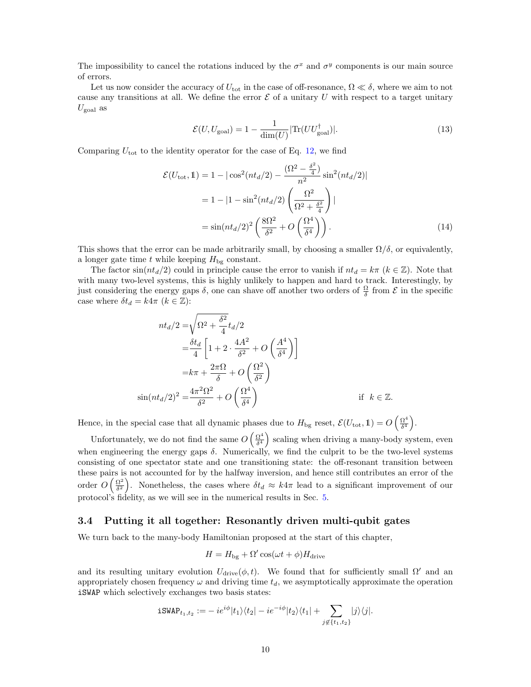The impossibility to cancel the rotations induced by the  $\sigma^x$  and  $\sigma^y$  components is our main source of errors.

Let us now consider the accuracy of  $U_{\text{tot}}$  in the case of off-resonance,  $\Omega \ll \delta$ , where we aim to not cause any transitions at all. We define the error  $\mathcal E$  of a unitary U with respect to a target unitary  $U_{\text{goal}}$  as

<span id="page-10-1"></span>
$$
\mathcal{E}(U, U_{\text{goal}}) = 1 - \frac{1}{\dim(U)} |\text{Tr}(UU_{\text{goal}}^{\dagger})|.
$$
 (13)

Comparing  $U_{\text{tot}}$  to the identity operator for the case of Eq. [12,](#page-9-0) we find

$$
\mathcal{E}(U_{\text{tot}}, 1) = 1 - |\cos^2(nt_d/2) - \frac{(\Omega^2 - \frac{\delta^2}{4})}{n^2} \sin^2(nt_d/2)|
$$
  
= 1 - |1 - \sin^2(nt\_d/2)|  $\left(\frac{\Omega^2}{\Omega^2 + \frac{\delta^2}{4}}\right)|$   
=  $\sin(nt_d/2)^2 \left(\frac{8\Omega^2}{\delta^2} + O\left(\frac{\Omega^4}{\delta^4}\right)\right)$ . (14)

This shows that the error can be made arbitrarily small, by choosing a smaller  $\Omega/\delta$ , or equivalently, a longer gate time t while keeping  $H_{\text{bg}}$  constant.

The factor  $sin(nt_d/2)$  could in principle cause the error to vanish if  $nt_d = k\pi$  ( $k \in \mathbb{Z}$ ). Note that with many two-level systems, this is highly unlikely to happen and hard to track. Interestingly, by just considering the energy gaps  $\delta$ , one can shave off another two orders of  $\frac{\Omega}{\delta}$  from  $\mathcal E$  in the specific case where  $\delta t_d = k4\pi$   $(k \in \mathbb{Z})$ :

$$
nt_d/2 = \sqrt{\Omega^2 + \frac{\delta^2}{4}} t_d/2
$$
  
=  $\frac{\delta t_d}{4} \left[ 1 + 2 \cdot \frac{4A^2}{\delta^2} + O\left(\frac{A^4}{\delta^4}\right) \right]$   
=  $k\pi + \frac{2\pi\Omega}{\delta} + O\left(\frac{\Omega^2}{\delta^2}\right)$   
 $\sin(nt_d/2)^2 = \frac{4\pi^2\Omega^2}{\delta^2} + O\left(\frac{\Omega^4}{\delta^4}\right)$  if  $k \in \mathbb{Z}$ .

Hence, in the special case that all dynamic phases due to  $H_{\text{bg}}$  reset,  $\mathcal{E}(U_{\text{tot}}, 1) = O\left(\frac{\Omega^4}{\delta^4}\right)$  $\frac{\Omega^4}{\delta^4}\bigg).$ 

Unfortunately, we do not find the same  $O\left(\frac{\Omega^4}{\delta^4}\right)$  $\left( \frac{\Omega^4}{\delta^4} \right)$  scaling when driving a many-body system, even when engineering the energy gaps  $\delta$ . Numerically, we find the culprit to be the two-level systems consisting of one spectator state and one transitioning state: the off-resonant transition between these pairs is not accounted for by the halfway inversion, and hence still contributes an error of the order  $O\left(\frac{\Omega^2}{\delta^2}\right)$  $\frac{\Omega^2}{\delta^2}$ ). Nonetheless, the cases where  $\delta t_d \approx k4\pi$  lead to a significant improvement of our protocol's fidelity, as we will see in the numerical results in Sec. [5.](#page-14-1)

#### <span id="page-10-0"></span>3.4 Putting it all together: Resonantly driven multi-qubit gates

We turn back to the many-body Hamiltonian proposed at the start of this chapter,

$$
H = H_{\text{bg}} + \Omega' \cos(\omega t + \phi) H_{\text{drive}}
$$

and its resulting unitary evolution  $U_{\text{drive}}(\phi, t)$ . We found that for sufficiently small  $\Omega'$  and an appropriately chosen frequency  $\omega$  and driving time  $t_d$ , we asymptotically approximate the operation iSWAP which selectively exchanges two basis states:

$$
\texttt{iswAP}_{t_1,t_2}:=-\,ie^{i\phi}|t_1\rangle\langle t_2|-ie^{-i\phi}|t_2\rangle\langle t_1|+\sum_{j\not\in\{t_1,t_2\}}|j\rangle\langle j|.
$$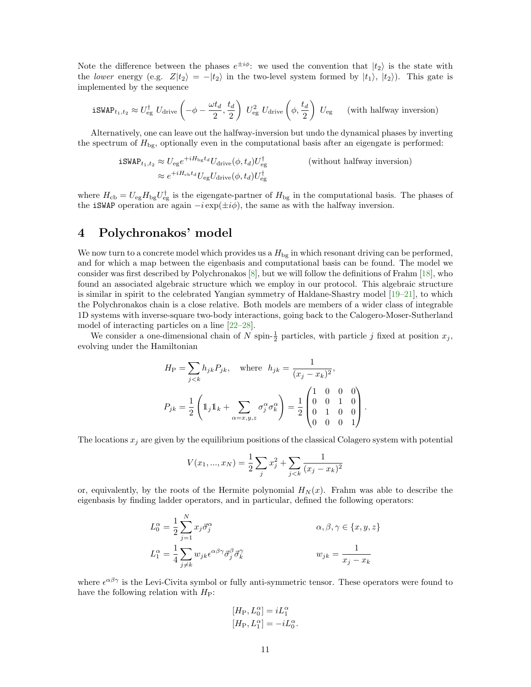Note the difference between the phases  $e^{\pm i\phi}$ : we used the convention that  $|t_2\rangle$  is the state with the lower energy (e.g.  $Z|t_2\rangle = -|t_2\rangle$  in the two-level system formed by  $|t_1\rangle, |t_2\rangle$ ). This gate is implemented by the sequence

$$
\text{iSWAP}_{t_1,t_2} \approx U_{\text{eg}}^{\dagger} U_{\text{drive}} \left( -\phi - \frac{\omega t_d}{2}, \frac{t_d}{2} \right) U_{\text{eg}}^2 U_{\text{drive}} \left( \phi, \frac{t_d}{2} \right) U_{\text{eg}} \qquad \text{(with halfway inversion)}
$$

Alternatively, one can leave out the halfway-inversion but undo the dynamical phases by inverting the spectrum of  $H_{\text{bg}}$ , optionally even in the computational basis after an eigengate is performed:

$$
\mathbf{iSWAP}_{t_1, t_2} \approx U_{\text{eg}} e^{+iH_{\text{bg}}t_d} U_{\text{drive}}(\phi, t_d) U_{\text{eg}}^{\dagger}
$$
 (without halfway inversion)  

$$
\approx e^{+iH_{\text{cb}}t_d} U_{\text{eg}} U_{\text{drive}}(\phi, t_d) U_{\text{eg}}^{\dagger}
$$

where  $H_{cb} = U_{eg} H_{bg} U_{eg}^{\dagger}$  is the eigengate-partner of  $H_{bg}$  in the computational basis. The phases of the iSWAP operation are again  $-i \exp(\pm i\phi)$ , the same as with the halfway inversion.

## <span id="page-11-0"></span>4 Polychronakos' model

We now turn to a concrete model which provides us a  $H_{\text{bg}}$  in which resonant driving can be performed, and for which a map between the eigenbasis and computational basis can be found. The model we consider was first described by Polychronakos [\[8\]](#page-18-6), but we will follow the definitions of Frahm [\[18\]](#page-19-8), who found an associated algebraic structure which we employ in our protocol. This algebraic structure is similar in spirit to the celebrated Yangian symmetry of Haldane-Shastry model [\[19–](#page-19-9)[21\]](#page-19-10), to which the Polychronakos chain is a close relative. Both models are members of a wider class of integrable 1D systems with inverse-square two-body interactions, going back to the Calogero-Moser-Sutherland model of interacting particles on a line [\[22](#page-19-11)[–28\]](#page-20-0).

We consider a one-dimensional chain of N spin- $\frac{1}{2}$  particles, with particle j fixed at position  $x_j$ , evolving under the Hamiltonian

$$
H_{\rm P} = \sum_{j < k} h_{jk} P_{jk}, \quad \text{where} \quad h_{jk} = \frac{1}{(x_j - x_k)^2},
$$
\n
$$
P_{jk} = \frac{1}{2} \left( \mathbb{1}_j \mathbb{1}_k + \sum_{\alpha = x, y, z} \sigma_j^{\alpha} \sigma_k^{\alpha} \right) = \frac{1}{2} \begin{pmatrix} 1 & 0 & 0 & 0 \\ 0 & 0 & 1 & 0 \\ 0 & 1 & 0 & 0 \\ 0 & 0 & 0 & 1 \end{pmatrix}.
$$

The locations  $x_j$  are given by the equilibrium positions of the classical Colagero system with potential

$$
V(x_1, ..., x_N) = \frac{1}{2} \sum_j x_j^2 + \sum_{j < k} \frac{1}{(x_j - x_k)^2}
$$

or, equivalently, by the roots of the Hermite polynomial  $H_N(x)$ . Frahm was able to describe the eigenbasis by finding ladder operators, and in particular, defined the following operators:

$$
L_0^{\alpha} = \frac{1}{2} \sum_{j=1}^{N} x_j \vec{\sigma}_j^{\alpha}
$$
  
\n
$$
L_1^{\alpha} = \frac{1}{4} \sum_{j \neq k} w_{jk} \epsilon^{\alpha \beta \gamma} \vec{\sigma}_j^{\beta} \vec{\sigma}_k^{\gamma}
$$
  
\n
$$
w_{jk} = \frac{1}{x_j - x_k}
$$

where  $\epsilon^{\alpha\beta\gamma}$  is the Levi-Civita symbol or fully anti-symmetric tensor. These operators were found to have the following relation with  $H_P$ :

$$
[H_P, L_0^{\alpha}] = iL_1^{\alpha}
$$
  

$$
[H_P, L_1^{\alpha}] = -iL_0^{\alpha}
$$

.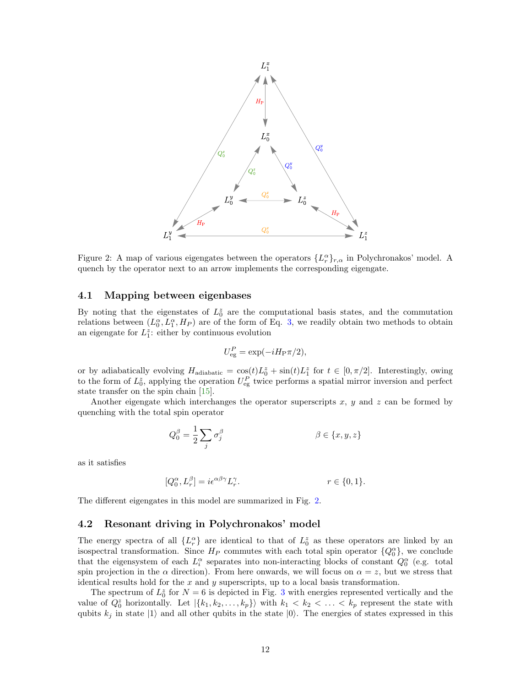

<span id="page-12-2"></span>Figure 2: A map of various eigengates between the operators  $\{L_r^{\alpha}\}_{r,\alpha}$  in Polychronakos' model. A quench by the operator next to an arrow implements the corresponding eigengate.

#### <span id="page-12-0"></span>4.1 Mapping between eigenbases

By noting that the eigenstates of  $L_0^z$  are the computational basis states, and the commutation relations between  $(L_0^{\alpha}, L_1^{\alpha}, H_P)$  are of the form of Eq. [3,](#page-5-4) we readily obtain two methods to obtain an eigengate for  $L_1^z$ : either by continuous evolution

$$
U_{\text{eg}}^P = \exp(-iH_{\text{P}}\pi/2),
$$

or by adiabatically evolving  $H_{adiabatic} = \cos(t)L_0^z + \sin(t)L_1^z$  for  $t \in [0, \pi/2]$ . Interestingly, owing to the form of  $L_0^z$ , applying the operation  $U_{\text{eg}}^P$  twice performs a spatial mirror inversion and perfect state transfer on the spin chain [\[15\]](#page-19-5).

Another eigengate which interchanges the operator superscripts  $x, y$  and  $z$  can be formed by quenching with the total spin operator

$$
Q_0^{\beta} = \frac{1}{2} \sum_j \sigma_j^{\beta} \qquad \qquad \beta \in \{x, y, z\}
$$

as it satisfies

$$
[Q_0^{\alpha}, L_r^{\beta}] = i\epsilon^{\alpha\beta\gamma}L_r^{\gamma}.
$$
  $r \in \{0, 1\}.$ 

The different eigengates in this model are summarized in Fig. [2.](#page-12-2)

#### <span id="page-12-1"></span>4.2 Resonant driving in Polychronakos' model

The energy spectra of all  $\{L_r^{\alpha}\}\$  are identical to that of  $L_0^z$  as these operators are linked by an isospectral transformation. Since  $H_P$  commutes with each total spin operator  ${Q_0^{\alpha}}$ , we conclude that the eigensystem of each  $L_i^{\alpha}$  separates into non-interacting blocks of constant  $Q_0^{\alpha}$  (e.g. total spin projection in the  $\alpha$  direction). From here onwards, we will focus on  $\alpha = z$ , but we stress that identical results hold for the  $x$  and  $y$  superscripts, up to a local basis transformation.

The spectrum of  $L_0^z$  for  $N = 6$  is depicted in Fig. [3](#page-13-0) with energies represented vertically and the value of  $Q_0^z$  horizontally. Let  $|\{k_1, k_2, \ldots, k_p\}\rangle$  with  $k_1 < k_2 < \ldots < k_p$  represent the state with qubits  $k_j$  in state  $|1\rangle$  and all other qubits in the state  $|0\rangle$ . The energies of states expressed in this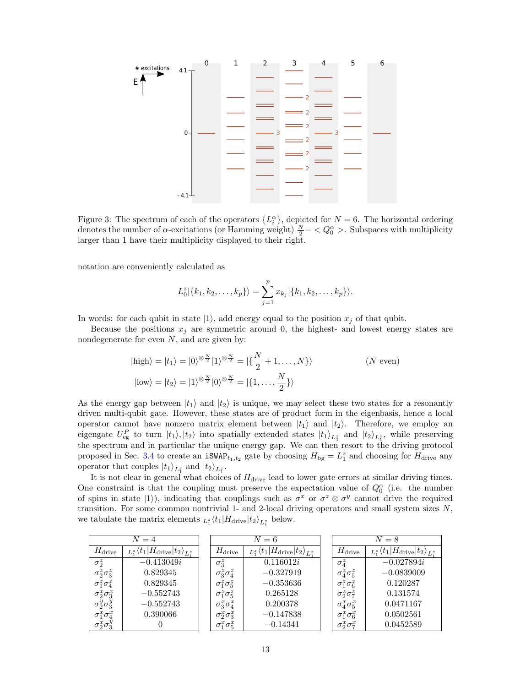

<span id="page-13-0"></span>Figure 3: The spectrum of each of the operators  $\{L_i^{\alpha}\}\,$ , depicted for  $N=6$ . The horizontal ordering denotes the number of  $\alpha$ -excitations (or Hamming weight)  $\frac{N}{2} - \langle Q_0^{\alpha} \rangle$ . Subspaces with multiplicity larger than 1 have their multiplicity displayed to their right.

notation are conveniently calculated as

$$
L_0^z|\{k_1, k_2, \ldots, k_p\}\rangle = \sum_{j=1}^p x_{k_j}|\{k_1, k_2, \ldots, k_p\}\rangle.
$$

In words: for each qubit in state  $|1\rangle$ , add energy equal to the position  $x_j$  of that qubit.

Because the positions  $x_j$  are symmetric around 0, the highest- and lowest energy states are nondegenerate for even  $N$ , and are given by:

$$
|\text{high}\rangle = |t_1\rangle = |0\rangle^{\otimes \frac{N}{2}} |1\rangle^{\otimes \frac{N}{2}} = |\{\frac{N}{2} + 1, ..., N\}\rangle \qquad (N \text{ even})
$$
  

$$
|\text{low}\rangle = |t_2\rangle = |1\rangle^{\otimes \frac{N}{2}} |0\rangle^{\otimes \frac{N}{2}} = |\{1, ..., \frac{N}{2}\}\rangle
$$

As the energy gap between  $|t_1\rangle$  and  $|t_2\rangle$  is unique, we may select these two states for a resonantly driven multi-qubit gate. However, these states are of product form in the eigenbasis, hence a local operator cannot have nonzero matrix element between  $|t_1\rangle$  and  $|t_2\rangle$ . Therefore, we employ an eigengate  $U_{eg}^P$  to turn  $|t_1\rangle, |t_2\rangle$  into spatially extended states  $|t_1\rangle_{L_1^z}$  and  $|t_2\rangle_{L_1^z}$ , while preserving the spectrum and in particular the unique energy gap. We can then resort to the driving protocol proposed in Sec. [3.4](#page-10-0) to create an  $iSWAP_{t_1,t_2}$  gate by choosing  $H_{bg} = L_1^z$  and choosing for  $H_{\text{drive}}$  any operator that couples  $|t_1\rangle_{L_1^z}$  and  $|t_2\rangle_{L_1^z}$ .

It is not clear in general what choices of  $H_{\text{drive}}$  lead to lower gate errors at similar driving times. One constraint is that the coupling must preserve the expectation value of  $Q_0^{\alpha}$  (i.e. the number of spins in state  $|1\rangle$ ), indicating that couplings such as  $\sigma^x$  or  $\sigma^z \otimes \sigma^y$  cannot drive the required transition. For some common nontrivial 1- and 2-local driving operators and small system sizes  $N$ , we tabulate the matrix elements  $_{L_1^z}\langle t_1|H_{\text{drive}}|t_2\rangle_{L_1^z}$  below.

| $N=4$                   |                                                           |  | $N=6$                   |                                                           |  |                         | $N=8$                                                     |
|-------------------------|-----------------------------------------------------------|--|-------------------------|-----------------------------------------------------------|--|-------------------------|-----------------------------------------------------------|
| $H_{\text{drive}}$      | $_{L_1^z}\langle t_1 H_{\text{drive}} t_2\rangle_{L_1^z}$ |  | $H_{\text{drive}}$      | $_{L_1^z}\langle t_1 H_{\text{drive}} t_2\rangle_{L_1^z}$ |  | $H_{\text{drive}}$      | $_{L_1^z}\langle t_1 H_{\text{drive}} t_2\rangle_{L_1^z}$ |
| $\sigma_2^z$            | $-0.413049i$                                              |  | $\sigma_3^z$            | 0.116012i                                                 |  | $\sigma_4^z$            | $-0.027894i$                                              |
| $\sigma_2^z \sigma_3^z$ | 0.829345                                                  |  | $\sigma_3^z \sigma_4^z$ | $-0.327919$                                               |  | $\sigma_4^z \sigma_5^z$ | $-0.0839009$                                              |
| $\sigma_1^z \sigma_4^z$ | 0.829345                                                  |  | $\sigma_1^z \sigma_5^z$ | $-0.353636$                                               |  | $\sigma_1^z \sigma_6^z$ | 0.120287                                                  |
| $\sigma_2^x \sigma_3^x$ | $-0.552743$                                               |  | $\sigma_1^z \sigma_5^z$ | 0.265128                                                  |  | $\sigma_2^z \sigma_7^z$ | 0.131574                                                  |
| $\sigma_2^y \sigma_3^y$ | $-0.552743$                                               |  | $\sigma_3^x \sigma_4^x$ | 0.200378                                                  |  | $\sigma^x_4 \sigma^x_5$ | 0.0471167                                                 |
| $\sigma_1^x \sigma_4^x$ | 0.390066                                                  |  | $\sigma_2^x \sigma_3^x$ | $-0.147838$                                               |  | $\sigma_1^x \sigma_6^x$ | 0.0502561                                                 |
| $\sigma_2^x \sigma_3^y$ |                                                           |  | $\sigma_1^x \sigma_5^x$ | $-0.14341$                                                |  | $\sigma_2^x \sigma_7^x$ | 0.0452589                                                 |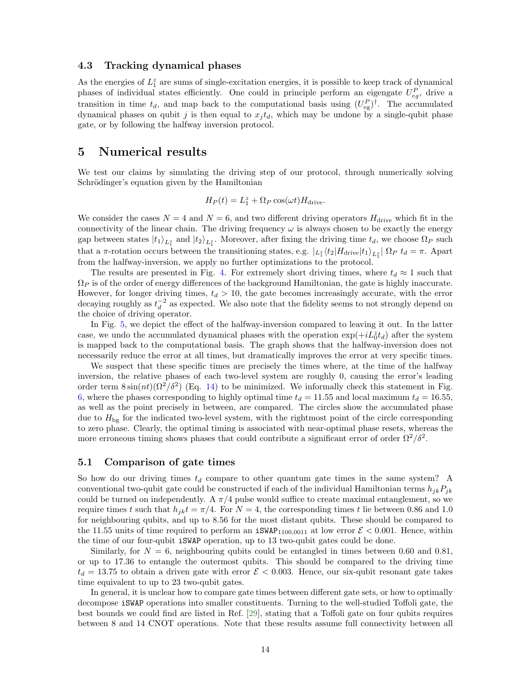#### <span id="page-14-0"></span>4.3 Tracking dynamical phases

As the energies of  $L_1^z$  are sums of single-excitation energies, it is possible to keep track of dynamical phases of individual states efficiently. One could in principle perform an eigengate  $U_{eg}^P$ , drive a transition in time  $t_d$ , and map back to the computational basis using  $(U_{eg}^P)^{\dagger}$ . The accumulated dynamical phases on qubit j is then equal to  $x_j t_d$ , which may be undone by a single-qubit phase gate, or by following the halfway inversion protocol.

### <span id="page-14-1"></span>5 Numerical results

We test our claims by simulating the driving step of our protocol, through numerically solving Schrödinger's equation given by the Hamiltonian

$$
H_P(t) = L_1^z + \Omega_P \cos(\omega t) H_{\text{drive}}.
$$

We consider the cases  $N = 4$  and  $N = 6$ , and two different driving operators  $H_{\text{drive}}$  which fit in the connectivity of the linear chain. The driving frequency  $\omega$  is always chosen to be exactly the energy gap between states  $|t_1\rangle_{L_1^z}$  and  $|t_2\rangle_{L_1^z}$ . Moreover, after fixing the driving time  $t_d$ , we choose  $\Omega_P$  such that a  $\pi$ -rotation occurs between the transitioning states, e.g.  $|_{L_1^z}\langle t_2|H_{\text{drive}}|t_1\rangle_{L_1^z}|\Omega_P\ t_d = \pi$ . Apart from the halfway-inversion, we apply no further optimizations to the protocol.

The results are presented in Fig. [4.](#page-15-0) For extremely short driving times, where  $t_d \approx 1$  such that  $\Omega_P$  is of the order of energy differences of the background Hamiltonian, the gate is highly inaccurate. However, for longer driving times,  $t_d > 10$ , the gate becomes increasingly accurate, with the error decaying roughly as  $t_d^{-2}$  as expected. We also note that the fidelity seems to not strongly depend on the choice of driving operator.

In Fig. [5,](#page-16-0) we depict the effect of the halfway-inversion compared to leaving it out. In the latter case, we undo the accumulated dynamical phases with the operation  $\exp(+i\tilde{L}_0^z t_d)$  after the system is mapped back to the computational basis. The graph shows that the halfway-inversion does not necessarily reduce the error at all times, but dramatically improves the error at very specific times.

We suspect that these specific times are precisely the times where, at the time of the halfway inversion, the relative phases of each two-level system are roughly 0, causing the error's leading order term  $8\sin(nt)(\Omega^2/\delta^2)$  (Eq. [14\)](#page-10-1) to be minimized. We informally check this statement in Fig. [6,](#page-16-1) where the phases corresponding to highly optimal time  $t_d = 11.55$  and local maximum  $t_d = 16.55$ , as well as the point precisely in between, are compared. The circles show the accumulated phase due to  $H_{\text{bg}}$  for the indicated two-level system, with the rightmost point of the circle corresponding to zero phase. Clearly, the optimal timing is associated with near-optimal phase resets, whereas the more erroneous timing shows phases that could contribute a significant error of order  $\Omega^2/\delta^2$ .

#### <span id="page-14-2"></span>5.1 Comparison of gate times

So how do our driving times  $t_d$  compare to other quantum gate times in the same system? A conventional two-qubit gate could be constructed if each of the individual Hamiltonian terms  $h_{ik}P_{ik}$ could be turned on independently. A  $\pi/4$  pulse would suffice to create maximal entanglement, so we require times t such that  $h_{ik}t = \pi/4$ . For  $N = 4$ , the corresponding times t lie between 0.86 and 1.0 for neighbouring qubits, and up to 8.56 for the most distant qubits. These should be compared to the 11.55 units of time required to perform an  $iSWAP_{1100,0011}$  at low error  $\mathcal{E} < 0.001$ . Hence, within the time of our four-qubit iSWAP operation, up to 13 two-qubit gates could be done.

Similarly, for  $N = 6$ , neighbouring qubits could be entangled in times between 0.60 and 0.81, or up to 17.36 to entangle the outermost qubits. This should be compared to the driving time  $t_d = 13.75$  to obtain a driven gate with error  $\mathcal{E} < 0.003$ . Hence, our six-qubit resonant gate takes time equivalent to up to 23 two-qubit gates.

In general, it is unclear how to compare gate times between different gate sets, or how to optimally decompose iSWAP operations into smaller constituents. Turning to the well-studied Toffoli gate, the best bounds we could find are listed in Ref. [\[29\]](#page-20-1), stating that a Toffoli gate on four qubits requires between 8 and 14 CNOT operations. Note that these results assume full connectivity between all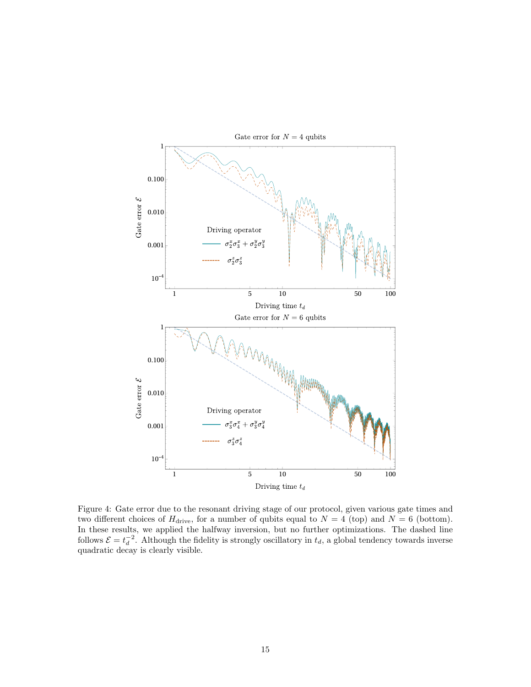

<span id="page-15-0"></span>Figure 4: Gate error due to the resonant driving stage of our protocol, given various gate times and two different choices of  $H_{\text{drive}}$ , for a number of qubits equal to  $N = 4$  (top) and  $N = 6$  (bottom). In these results, we applied the halfway inversion, but no further optimizations. The dashed line follows  $\mathcal{E} = t_d^{-2}$ . Although the fidelity is strongly oscillatory in  $t_d$ , a global tendency towards inverse quadratic decay is clearly visible.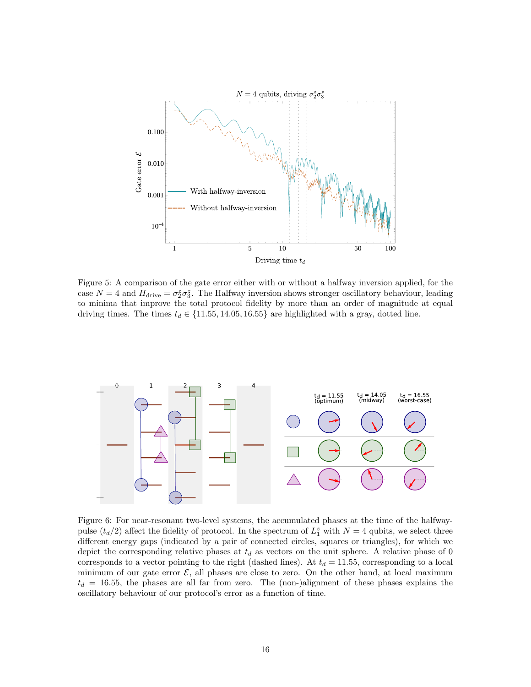

<span id="page-16-0"></span>Figure 5: A comparison of the gate error either with or without a halfway inversion applied, for the case  $N = 4$  and  $H_{\text{drive}} = \sigma_2^z \sigma_3^z$ . The Halfway inversion shows stronger oscillatory behaviour, leading to minima that improve the total protocol fidelity by more than an order of magnitude at equal driving times. The times  $t_d \in \{11.55, 14.05, 16.55\}$  are highlighted with a gray, dotted line.



<span id="page-16-1"></span>Figure 6: For near-resonant two-level systems, the accumulated phases at the time of the halfwaypulse  $(t_d/2)$  affect the fidelity of protocol. In the spectrum of  $L_1^z$  with  $N = 4$  qubits, we select three different energy gaps (indicated by a pair of connected circles, squares or triangles), for which we depict the corresponding relative phases at  $t_d$  as vectors on the unit sphere. A relative phase of 0 corresponds to a vector pointing to the right (dashed lines). At  $t_d = 11.55$ , corresponding to a local minimum of our gate error  $\mathcal{E}$ , all phases are close to zero. On the other hand, at local maximum  $t_d = 16.55$ , the phases are all far from zero. The (non-)alignment of these phases explains the oscillatory behaviour of our protocol's error as a function of time.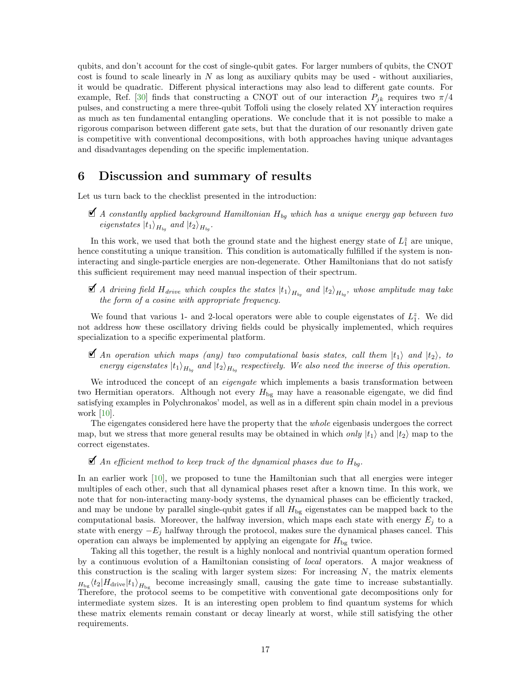qubits, and don't account for the cost of single-qubit gates. For larger numbers of qubits, the CNOT cost is found to scale linearly in  $N$  as long as auxiliary qubits may be used - without auxiliaries, it would be quadratic. Different physical interactions may also lead to different gate counts. For example, Ref. [\[30\]](#page-20-2) finds that constructing a CNOT out of our interaction  $P_{ik}$  requires two  $\pi/4$ pulses, and constructing a mere three-qubit Toffoli using the closely related XY interaction requires as much as ten fundamental entangling operations. We conclude that it is not possible to make a rigorous comparison between different gate sets, but that the duration of our resonantly driven gate is competitive with conventional decompositions, with both approaches having unique advantages and disadvantages depending on the specific implementation.

## <span id="page-17-0"></span>6 Discussion and summary of results

Let us turn back to the checklist presented in the introduction:

 $\blacktriangleleft$  A constantly applied background Hamiltonian  $H_{bq}$  which has a unique energy gap between two eigenstates  $|t_1\rangle_{H_{bg}}$  and  $|t_2\rangle_{H_{bg}}$ .

In this work, we used that both the ground state and the highest energy state of  $L_1^z$  are unique, hence constituting a unique transition. This condition is automatically fulfilled if the system is noninteracting and single-particle energies are non-degenerate. Other Hamiltonians that do not satisfy this sufficient requirement may need manual inspection of their spectrum.

 $\blacktriangleleft$  A driving field  $H_{drive}$  which couples the states  $\ket{\mathrm{t}_1}_{H_{bg}}$  and  $\ket{\mathrm{t}_2}_{H_{bg}}$ , whose amplitude may take the form of a cosine with appropriate frequency.

We found that various 1- and 2-local operators were able to couple eigenstates of  $L_1^z$ . We did not address how these oscillatory driving fields could be physically implemented, which requires specialization to a specific experimental platform.

 $\blacktriangleright$  An operation which maps (any) two computational basis states, call them  $|t_1\rangle$  and  $|t_2\rangle$ , to energy eigenstates  $|t_1\rangle_{H_{bg}}$  and  $|t_2\rangle_{H_{bg}}$  respectively. We also need the inverse of this operation.

We introduced the concept of an *eigengate* which implements a basis transformation between two Hermitian operators. Although not every  $H_{\text{bg}}$  may have a reasonable eigengate, we did find satisfying examples in Polychronakos' model, as well as in a different spin chain model in a previous work [\[10\]](#page-19-0).

The eigengates considered here have the property that the whole eigenbasis undergoes the correct map, but we stress that more general results may be obtained in which only  $|t_1\rangle$  and  $|t_2\rangle$  map to the correct eigenstates.

 $\blacktriangle$  An efficient method to keep track of the dynamical phases due to  $H_{bg}$ .

In an earlier work [\[10\]](#page-19-0), we proposed to tune the Hamiltonian such that all energies were integer multiples of each other, such that all dynamical phases reset after a known time. In this work, we note that for non-interacting many-body systems, the dynamical phases can be efficiently tracked, and may be undone by parallel single-qubit gates if all  $H_{\text{bg}}$  eigenstates can be mapped back to the computational basis. Moreover, the halfway inversion, which maps each state with energy  $E_j$  to a state with energy  $-E_j$  halfway through the protocol, makes sure the dynamical phases cancel. This operation can always be implemented by applying an eigengate for  $H_{\text{bg}}$  twice.

Taking all this together, the result is a highly nonlocal and nontrivial quantum operation formed by a continuous evolution of a Hamiltonian consisting of local operators. A major weakness of this construction is the scaling with larger system sizes: For increasing  $N$ , the matrix elements  $H_{\text{bg}}\langle t_2|H_{\text{drive}}|t_1\rangle_{H_{\text{bg}}}$  become increasingly small, causing the gate time to increase substantially. Therefore, the protocol seems to be competitive with conventional gate decompositions only for intermediate system sizes. It is an interesting open problem to find quantum systems for which these matrix elements remain constant or decay linearly at worst, while still satisfying the other requirements.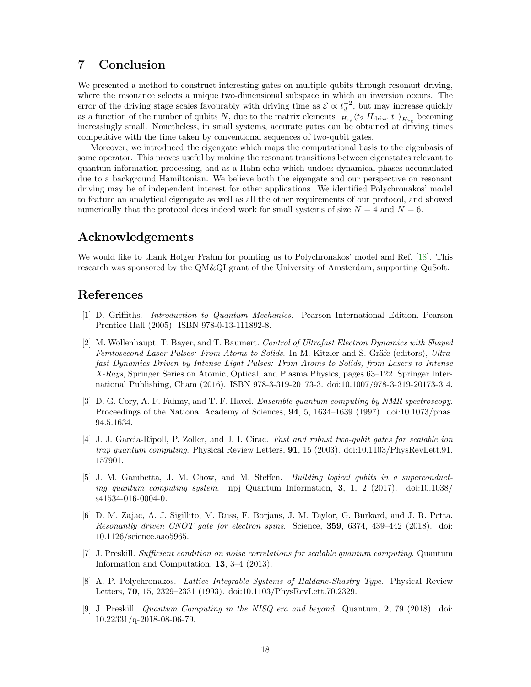## <span id="page-18-0"></span>7 Conclusion

We presented a method to construct interesting gates on multiple qubits through resonant driving, where the resonance selects a unique two-dimensional subspace in which an inversion occurs. The error of the driving stage scales favourably with driving time as  $\mathcal{E} \propto t_d^{-2}$ , but may increase quickly as a function of the number of qubits N, due to the matrix elements  $H_{\text{bg}}\langle t_2|H_{\text{drive}}|t_1\rangle_{H_{\text{bg}}}$  becoming increasingly small. Nonetheless, in small systems, accurate gates can be obtained at driving times competitive with the time taken by conventional sequences of two-qubit gates.

Moreover, we introduced the eigengate which maps the computational basis to the eigenbasis of some operator. This proves useful by making the resonant transitions between eigenstates relevant to quantum information processing, and as a Hahn echo which undoes dynamical phases accumulated due to a background Hamiltonian. We believe both the eigengate and our perspective on resonant driving may be of independent interest for other applications. We identified Polychronakos' model to feature an analytical eigengate as well as all the other requirements of our protocol, and showed numerically that the protocol does indeed work for small systems of size  $N = 4$  and  $N = 6$ .

## Acknowledgements

We would like to thank Holger Frahm for pointing us to Polychronakos' model and Ref. [\[18\]](#page-19-8). This research was sponsored by the QM&QI grant of the University of Amsterdam, supporting QuSoft.

## References

- <span id="page-18-1"></span>[1] D. Griffiths. Introduction to Quantum Mechanics. Pearson International Edition. Pearson Prentice Hall (2005). ISBN 978-0-13-111892-8.
- <span id="page-18-2"></span>[2] M. Wollenhaupt, T. Bayer, and T. Baumert. Control of Ultrafast Electron Dynamics with Shaped Femtosecond Laser Pulses: From Atoms to Solids. In M. Kitzler and S. Gräfe (editors), Ultrafast Dynamics Driven by Intense Light Pulses: From Atoms to Solids, from Lasers to Intense X-Rays, Springer Series on Atomic, Optical, and Plasma Physics, pages 63–122. Springer International Publishing, Cham (2016). ISBN 978-3-319-20173-3. doi:10.1007/978-3-319-20173-3 4.
- <span id="page-18-3"></span>[3] D. G. Cory, A. F. Fahmy, and T. F. Havel. *Ensemble quantum computing by NMR spectroscopy*. Proceedings of the National Academy of Sciences, 94, 5, 1634–1639 (1997). doi:10.1073/pnas. 94.5.1634.
- [4] J. J. Garcia-Ripoll, P. Zoller, and J. I. Cirac. Fast and robust two-qubit gates for scalable ion trap quantum computing. Physical Review Letters, 91, 15 (2003). doi:10.1103/PhysRevLett.91. 157901.
- [5] J. M. Gambetta, J. M. Chow, and M. Steffen. Building logical qubits in a superconducting quantum computing system. npj Quantum Information, 3, 1, 2 (2017). doi:10.1038/ s41534-016-0004-0.
- <span id="page-18-4"></span>[6] D. M. Zajac, A. J. Sigillito, M. Russ, F. Borjans, J. M. Taylor, G. Burkard, and J. R. Petta. Resonantly driven CNOT gate for electron spins. Science, 359, 6374, 439–442 (2018). doi: 10.1126/science.aao5965.
- <span id="page-18-5"></span>[7] J. Preskill. Sufficient condition on noise correlations for scalable quantum computing. Quantum Information and Computation, 13, 3–4 (2013).
- <span id="page-18-6"></span>[8] A. P. Polychronakos. Lattice Integrable Systems of Haldane-Shastry Type. Physical Review Letters, 70, 15, 2329–2331 (1993). doi:10.1103/PhysRevLett.70.2329.
- <span id="page-18-7"></span>[9] J. Preskill. Quantum Computing in the NISQ era and beyond. Quantum, 2, 79 (2018). doi: 10.22331/q-2018-08-06-79.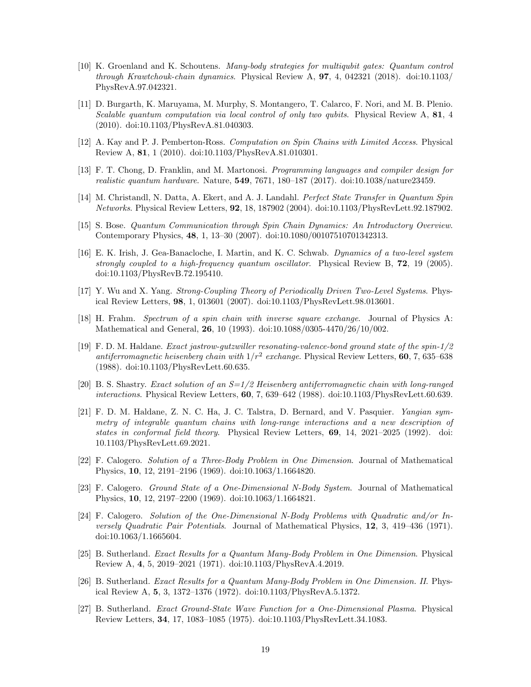- <span id="page-19-0"></span>[10] K. Groenland and K. Schoutens. Many-body strategies for multiqubit gates: Quantum control through Krawtchouk-chain dynamics. Physical Review A,  $97, 4, 042321$  (2018). doi:10.1103/ PhysRevA.97.042321.
- <span id="page-19-1"></span>[11] D. Burgarth, K. Maruyama, M. Murphy, S. Montangero, T. Calarco, F. Nori, and M. B. Plenio. Scalable quantum computation via local control of only two qubits. Physical Review A, 81, 4 (2010). doi:10.1103/PhysRevA.81.040303.
- <span id="page-19-2"></span>[12] A. Kay and P. J. Pemberton-Ross. Computation on Spin Chains with Limited Access. Physical Review A, 81, 1 (2010). doi:10.1103/PhysRevA.81.010301.
- <span id="page-19-3"></span>[13] F. T. Chong, D. Franklin, and M. Martonosi. Programming languages and compiler design for realistic quantum hardware. Nature, 549, 7671, 180–187 (2017). doi:10.1038/nature23459.
- <span id="page-19-4"></span>[14] M. Christandl, N. Datta, A. Ekert, and A. J. Landahl. Perfect State Transfer in Quantum Spin Networks. Physical Review Letters, 92, 18, 187902 (2004). doi:10.1103/PhysRevLett.92.187902.
- <span id="page-19-5"></span>[15] S. Bose. Quantum Communication through Spin Chain Dynamics: An Introductory Overview. Contemporary Physics, 48, 1, 13–30 (2007). doi:10.1080/00107510701342313.
- <span id="page-19-6"></span>[16] E. K. Irish, J. Gea-Banacloche, I. Martin, and K. C. Schwab. Dynamics of a two-level system strongly coupled to a high-frequency quantum oscillator. Physical Review B,  $72$ , 19 (2005). doi:10.1103/PhysRevB.72.195410.
- <span id="page-19-7"></span>[17] Y. Wu and X. Yang. Strong-Coupling Theory of Periodically Driven Two-Level Systems. Physical Review Letters, 98, 1, 013601 (2007). doi:10.1103/PhysRevLett.98.013601.
- <span id="page-19-8"></span>[18] H. Frahm. Spectrum of a spin chain with inverse square exchange. Journal of Physics A: Mathematical and General, **26**, 10 (1993). doi:10.1088/0305-4470/26/10/002.
- <span id="page-19-9"></span>[19] F. D. M. Haldane. Exact jastrow-gutzwiller resonating-valence-bond ground state of the spin-1/2 antiferromagnetic heisenberg chain with  $1/r^2$  exchange. Physical Review Letters, 60, 7, 635–638 (1988). doi:10.1103/PhysRevLett.60.635.
- [20] B. S. Shastry. *Exact solution of an*  $S=1/2$  *Heisenberg antiferromagnetic chain with long-ranged* interactions. Physical Review Letters, 60, 7, 639–642 (1988). doi:10.1103/PhysRevLett.60.639.
- <span id="page-19-10"></span>[21] F. D. M. Haldane, Z. N. C. Ha, J. C. Talstra, D. Bernard, and V. Pasquier. *Yangian sym*metry of integrable quantum chains with long-range interactions and a new description of states in conformal field theory. Physical Review Letters, 69, 14, 2021–2025 (1992). doi: 10.1103/PhysRevLett.69.2021.
- <span id="page-19-11"></span>[22] F. Calogero. Solution of a Three-Body Problem in One Dimension. Journal of Mathematical Physics, 10, 12, 2191–2196 (1969). doi:10.1063/1.1664820.
- [23] F. Calogero. Ground State of a One-Dimensional N-Body System. Journal of Mathematical Physics, 10, 12, 2197–2200 (1969). doi:10.1063/1.1664821.
- [24] F. Calogero. Solution of the One-Dimensional N-Body Problems with Quadratic and/or Inversely Quadratic Pair Potentials. Journal of Mathematical Physics, 12, 3, 419–436 (1971). doi:10.1063/1.1665604.
- [25] B. Sutherland. Exact Results for a Quantum Many-Body Problem in One Dimension. Physical Review A, 4, 5, 2019–2021 (1971). doi:10.1103/PhysRevA.4.2019.
- [26] B. Sutherland. Exact Results for a Quantum Many-Body Problem in One Dimension. II. Physical Review A, 5, 3, 1372–1376 (1972). doi:10.1103/PhysRevA.5.1372.
- [27] B. Sutherland. Exact Ground-State Wave Function for a One-Dimensional Plasma. Physical Review Letters, 34, 17, 1083–1085 (1975). doi:10.1103/PhysRevLett.34.1083.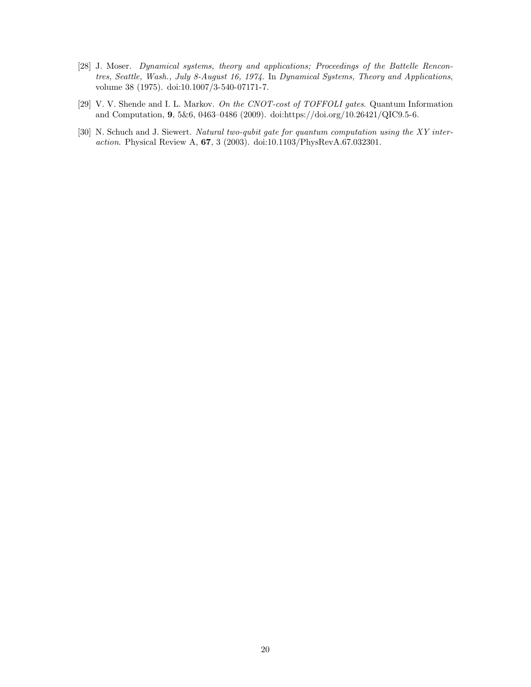- <span id="page-20-0"></span>[28] J. Moser. Dynamical systems, theory and applications; Proceedings of the Battelle Rencontres, Seattle, Wash., July 8-August 16, 1974. In Dynamical Systems, Theory and Applications, volume 38 (1975). doi:10.1007/3-540-07171-7.
- <span id="page-20-1"></span>[29] V. V. Shende and I. L. Markov. On the CNOT-cost of TOFFOLI gates. Quantum Information and Computation, 9, 5&6, 0463–0486 (2009). doi:https://doi.org/10.26421/QIC9.5-6.
- <span id="page-20-2"></span>[30] N. Schuch and J. Siewert. Natural two-qubit gate for quantum computation using the XY interaction. Physical Review A, 67, 3 (2003). doi:10.1103/PhysRevA.67.032301.